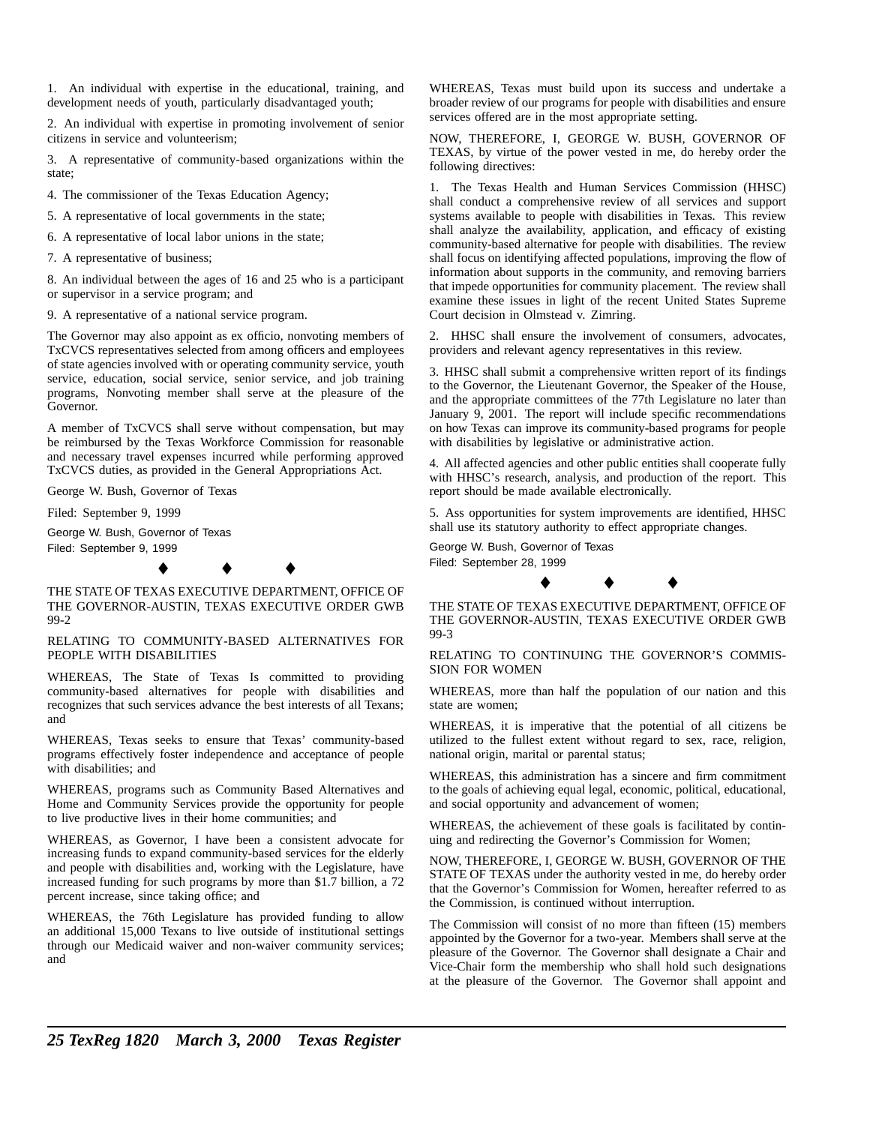1. An individual with expertise in the educational, training, and development needs of youth, particularly disadvantaged youth;

2. An individual with expertise in promoting involvement of senior citizens in service and volunteerism;

3. A representative of community-based organizations within the state;

4. The commissioner of the Texas Education Agency;

5. A representative of local governments in the state;

6. A representative of local labor unions in the state;

7. A representative of business;

8. An individual between the ages of 16 and 25 who is a participant or supervisor in a service program; and

9. A representative of a national service program.

The Governor may also appoint as ex officio, nonvoting members of TxCVCS representatives selected from among officers and employees of state agencies involved with or operating community service, youth service, education, social service, senior service, and job training programs, Nonvoting member shall serve at the pleasure of the Governor.

A member of TxCVCS shall serve without compensation, but may be reimbursed by the Texas Workforce Commission for reasonable and necessary travel expenses incurred while performing approved TxCVCS duties, as provided in the General Appropriations Act.

George W. Bush, Governor of Texas

Filed: September 9, 1999

George W. Bush, Governor of Texas Filed: September 9, 1999

 $\bullet$   $\bullet$   $\bullet$ 

THE STATE OF TEXAS EXECUTIVE DEPARTMENT, OFFICE OF THE GOVERNOR-AUSTIN, TEXAS EXECUTIVE ORDER GWB 99-2

RELATING TO COMMUNITY-BASED ALTERNATIVES FOR PEOPLE WITH DISABILITIES

WHEREAS, The State of Texas Is committed to providing community-based alternatives for people with disabilities and recognizes that such services advance the best interests of all Texans; and

WHEREAS, Texas seeks to ensure that Texas' community-based programs effectively foster independence and acceptance of people with disabilities; and

WHEREAS, programs such as Community Based Alternatives and Home and Community Services provide the opportunity for people to live productive lives in their home communities; and

WHEREAS, as Governor, I have been a consistent advocate for increasing funds to expand community-based services for the elderly and people with disabilities and, working with the Legislature, have increased funding for such programs by more than \$1.7 billion, a 72 percent increase, since taking office; and

WHEREAS, the 76th Legislature has provided funding to allow an additional 15,000 Texans to live outside of institutional settings through our Medicaid waiver and non-waiver community services; and

WHEREAS, Texas must build upon its success and undertake a broader review of our programs for people with disabilities and ensure services offered are in the most appropriate setting.

NOW, THEREFORE, I, GEORGE W. BUSH, GOVERNOR OF TEXAS, by virtue of the power vested in me, do hereby order the following directives:

1. The Texas Health and Human Services Commission (HHSC) shall conduct a comprehensive review of all services and support systems available to people with disabilities in Texas. This review shall analyze the availability, application, and efficacy of existing community-based alternative for people with disabilities. The review shall focus on identifying affected populations, improving the flow of information about supports in the community, and removing barriers that impede opportunities for community placement. The review shall examine these issues in light of the recent United States Supreme Court decision in Olmstead v. Zimring.

2. HHSC shall ensure the involvement of consumers, advocates, providers and relevant agency representatives in this review.

3. HHSC shall submit a comprehensive written report of its findings to the Governor, the Lieutenant Governor, the Speaker of the House, and the appropriate committees of the 77th Legislature no later than January 9, 2001. The report will include specific recommendations on how Texas can improve its community-based programs for people with disabilities by legislative or administrative action.

4. All affected agencies and other public entities shall cooperate fully with HHSC's research, analysis, and production of the report. This report should be made available electronically.

5. Ass opportunities for system improvements are identified, HHSC shall use its statutory authority to effect appropriate changes.

George W. Bush, Governor of Texas Filed: September 28, 1999



99-3

RELATING TO CONTINUING THE GOVERNOR'S COMMIS-SION FOR WOMEN

WHEREAS, more than half the population of our nation and this state are women;

WHEREAS, it is imperative that the potential of all citizens be utilized to the fullest extent without regard to sex, race, religion, national origin, marital or parental status;

WHEREAS, this administration has a sincere and firm commitment to the goals of achieving equal legal, economic, political, educational, and social opportunity and advancement of women;

WHEREAS, the achievement of these goals is facilitated by continuing and redirecting the Governor's Commission for Women;

NOW, THEREFORE, I, GEORGE W. BUSH, GOVERNOR OF THE STATE OF TEXAS under the authority vested in me, do hereby order that the Governor's Commission for Women, hereafter referred to as the Commission, is continued without interruption.

The Commission will consist of no more than fifteen (15) members appointed by the Governor for a two-year. Members shall serve at the pleasure of the Governor. The Governor shall designate a Chair and Vice-Chair form the membership who shall hold such designations at the pleasure of the Governor. The Governor shall appoint and